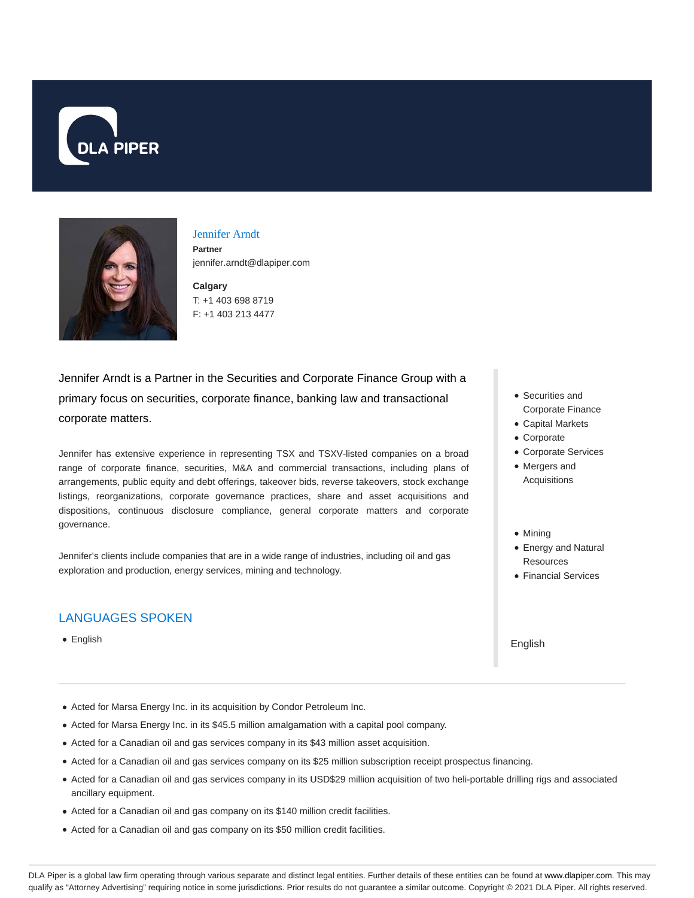



# Jennifer Arndt

**Partner** jennifer.arndt@dlapiper.com

**Calgary** T: +1 403 698 8719 F: +1 403 213 4477

Jennifer Arndt is a Partner in the Securities and Corporate Finance Group with a primary focus on securities, corporate finance, banking law and transactional corporate matters.

Jennifer has extensive experience in representing TSX and TSXV-listed companies on a broad range of corporate finance, securities, M&A and commercial transactions, including plans of arrangements, public equity and debt offerings, takeover bids, reverse takeovers, stock exchange listings, reorganizations, corporate governance practices, share and asset acquisitions and dispositions, continuous disclosure compliance, general corporate matters and corporate governance.

Jennifer's clients include companies that are in a wide range of industries, including oil and gas exploration and production, energy services, mining and technology.

# LANGUAGES SPOKEN

English

- Securities and Corporate Finance
- Capital Markets
- Corporate
- Corporate Services
- Mergers and Acquisitions
- Minina
- Energy and Natural Resources
- Financial Services

English

- Acted for Marsa Energy Inc. in its acquisition by Condor Petroleum Inc.
- Acted for Marsa Energy Inc. in its \$45.5 million amalgamation with a capital pool company.
- Acted for a Canadian oil and gas services company in its \$43 million asset acquisition.
- Acted for a Canadian oil and gas services company on its \$25 million subscription receipt prospectus financing.
- Acted for a Canadian oil and gas services company in its USD\$29 million acquisition of two heli-portable drilling rigs and associated ancillary equipment.
- Acted for a Canadian oil and gas company on its \$140 million credit facilities.
- Acted for a Canadian oil and gas company on its \$50 million credit facilities.

DLA Piper is a global law firm operating through various separate and distinct legal entities. Further details of these entities can be found at www.dlapiper.com. This may qualify as "Attorney Advertising" requiring notice in some jurisdictions. Prior results do not guarantee a similar outcome. Copyright © 2021 DLA Piper. All rights reserved.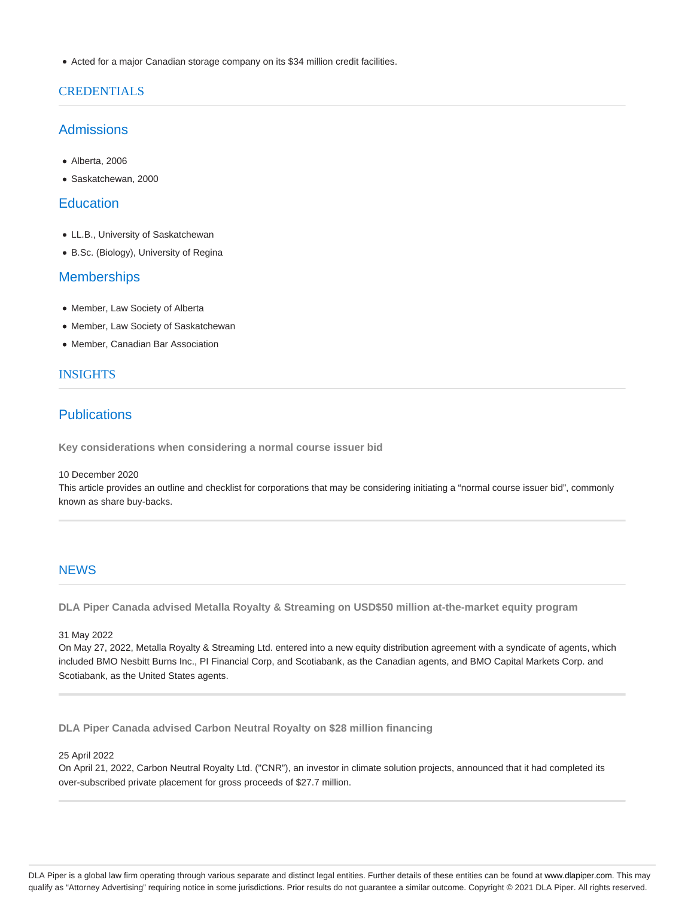Acted for a major Canadian storage company on its \$34 million credit facilities.

### CREDENTIALS

# Admissions

- Alberta, 2006
- Saskatchewan, 2000

## **Education**

- LL.B., University of Saskatchewan
- B.Sc. (Biology), University of Regina

# **Memberships**

- Member, Law Society of Alberta
- Member, Law Society of Saskatchewan
- Member, Canadian Bar Association

### INSIGHTS

# **Publications**

**Key considerations when considering a normal course issuer bid**

#### 10 December 2020

This article provides an outline and checklist for corporations that may be considering initiating a "normal course issuer bid", commonly known as share buy-backs.

### **NEWS**

**DLA Piper Canada advised Metalla Royalty & Streaming on USD\$50 million at-the-market equity program**

31 May 2022

On May 27, 2022, Metalla Royalty & Streaming Ltd. entered into a new equity distribution agreement with a syndicate of agents, which included BMO Nesbitt Burns Inc., PI Financial Corp, and Scotiabank, as the Canadian agents, and BMO Capital Markets Corp. and Scotiabank, as the United States agents.

**DLA Piper Canada advised Carbon Neutral Royalty on \$28 million financing**

#### 25 April 2022

On April 21, 2022, Carbon Neutral Royalty Ltd. ("CNR"), an investor in climate solution projects, announced that it had completed its over-subscribed private placement for gross proceeds of \$27.7 million.